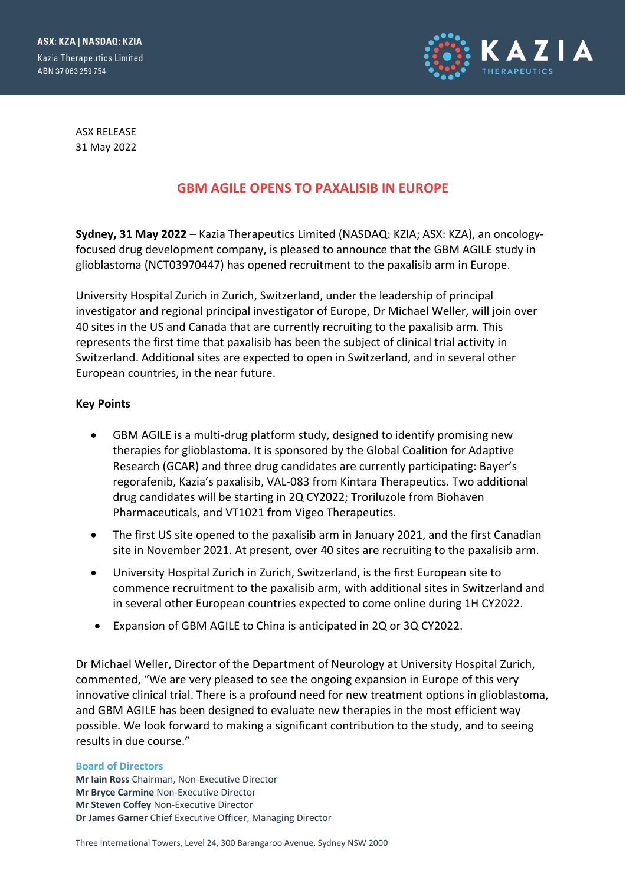ASX: KZA | NASDAQ: KZIA **Kazia Therapeutics Limited** ABN 37 063 259 754



ASX RELEASE 31 May 2022

# **GBM AGILE OPENS TO PAXALISIB IN EUROPE**

**Sydney, 31 May 2022** – Kazia Therapeutics Limited (NASDAQ: KZIA; ASX: KZA), an oncologyfocused drug development company, is pleased to announce that the GBM AGILE study in glioblastoma (NCT03970447) has opened recruitment to the paxalisib arm in Europe.

University Hospital Zurich in Zurich, Switzerland, under the leadership of principal investigator and regional principal investigator of Europe, Dr Michael Weller, will join over 40 sites in the US and Canada that are currently recruiting to the paxalisib arm. This represents the first time that paxalisib has been the subject of clinical trial activity in Switzerland. Additional sites are expected to open in Switzerland, and in several other European countries, in the near future.

## **Key Points**

- GBM AGILE is a multi-drug platform study, designed to identify promising new therapies for glioblastoma. It is sponsored by the Global Coalition for Adaptive Research (GCAR) and three drug candidates are currently participating: Bayer's regorafenib, Kazia's paxalisib, VAL-083 from Kintara Therapeutics. Two additional drug candidates will be starting in 2Q CY2022; Troriluzole from Biohaven Pharmaceuticals, and VT1021 from Vigeo Therapeutics.
- The first US site opened to the paxalisib arm in January 2021, and the first Canadian site in November 2021. At present, over 40 sites are recruiting to the paxalisib arm.
- University Hospital Zurich in Zurich, Switzerland, is the first European site to commence recruitment to the paxalisib arm, with additional sites in Switzerland and in several other European countries expected to come online during 1H CY2022.
- Expansion of GBM AGILE to China is anticipated in 2Q or 3Q CY2022.

Dr Michael Weller, Director of the Department of Neurology at University Hospital Zurich, commented, "We are very pleased to see the ongoing expansion in Europe of this very innovative clinical trial. There is a profound need for new treatment options in glioblastoma, and GBM AGILE has been designed to evaluate new therapies in the most efficient way possible. We look forward to making a significant contribution to the study, and to seeing results in due course."

## **Board of Directors**

**Mr Iain Ross** Chairman, Non-Executive Director **Mr Bryce Carmine** Non-Executive Director **Mr Steven Coffey** Non-Executive Director **Dr James Garner** Chief Executive Officer, Managing Director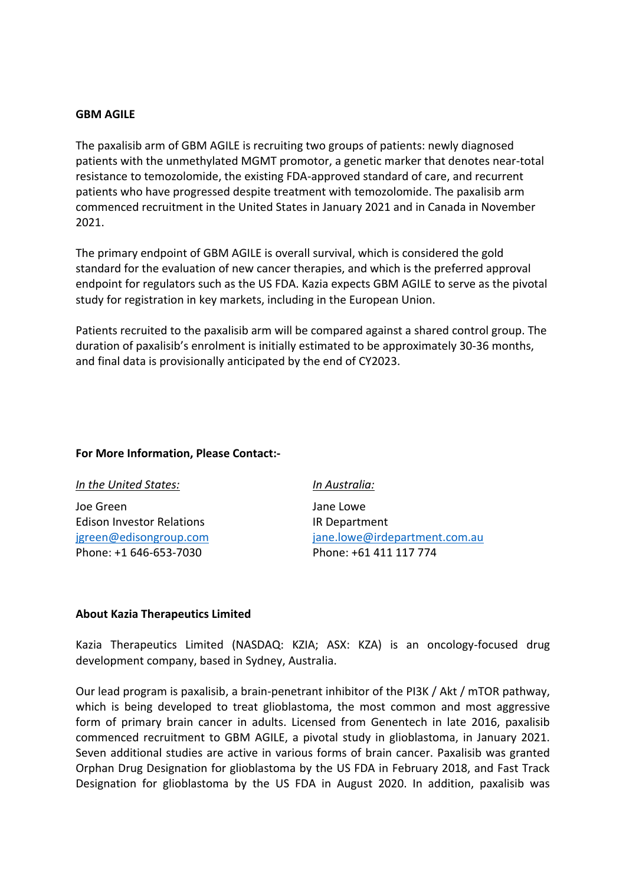## **GBM AGILE**

The paxalisib arm of GBM AGILE is recruiting two groups of patients: newly diagnosed patients with the unmethylated MGMT promotor, a genetic marker that denotes near-total resistance to temozolomide, the existing FDA-approved standard of care, and recurrent patients who have progressed despite treatment with temozolomide. The paxalisib arm commenced recruitment in the United States in January 2021 and in Canada in November 2021.

The primary endpoint of GBM AGILE is overall survival, which is considered the gold standard for the evaluation of new cancer therapies, and which is the preferred approval endpoint for regulators such as the US FDA. Kazia expects GBM AGILE to serve as the pivotal study for registration in key markets, including in the European Union.

Patients recruited to the paxalisib arm will be compared against a shared control group. The duration of paxalisib's enrolment is initially estimated to be approximately 30-36 months, and final data is provisionally anticipated by the end of CY2023.

## **For More Information, Please Contact:-**

| In the United States:            | In Australia:                 |
|----------------------------------|-------------------------------|
| Joe Green                        | Jane Lowe                     |
| <b>Edison Investor Relations</b> | IR Department                 |
| jgreen@edisongroup.com           | jane.lowe@irdepartment.com.au |
| Phone: +1 646-653-7030           | Phone: +61 411 117 774        |

## **About Kazia Therapeutics Limited**

Kazia Therapeutics Limited (NASDAQ: KZIA; ASX: KZA) is an oncology-focused drug development company, based in Sydney, Australia.

Our lead program is paxalisib, a brain-penetrant inhibitor of the PI3K / Akt / mTOR pathway, which is being developed to treat glioblastoma, the most common and most aggressive form of primary brain cancer in adults. Licensed from Genentech in late 2016, paxalisib commenced recruitment to GBM AGILE, a pivotal study in glioblastoma, in January 2021. Seven additional studies are active in various forms of brain cancer. Paxalisib was granted Orphan Drug Designation for glioblastoma by the US FDA in February 2018, and Fast Track Designation for glioblastoma by the US FDA in August 2020. In addition, paxalisib was